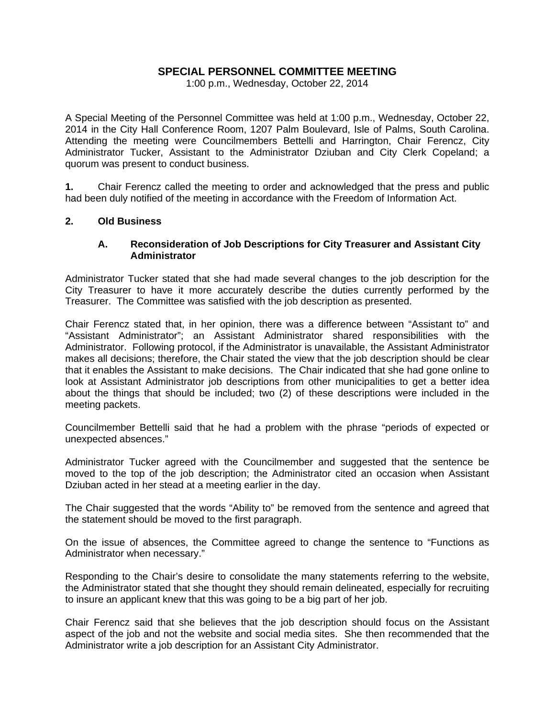# **SPECIAL PERSONNEL COMMITTEE MEETING**

1:00 p.m., Wednesday, October 22, 2014

A Special Meeting of the Personnel Committee was held at 1:00 p.m., Wednesday, October 22, 2014 in the City Hall Conference Room, 1207 Palm Boulevard, Isle of Palms, South Carolina. Attending the meeting were Councilmembers Bettelli and Harrington, Chair Ferencz, City Administrator Tucker, Assistant to the Administrator Dziuban and City Clerk Copeland; a quorum was present to conduct business.

**1.** Chair Ferencz called the meeting to order and acknowledged that the press and public had been duly notified of the meeting in accordance with the Freedom of Information Act.

#### **2. Old Business**

### **A. Reconsideration of Job Descriptions for City Treasurer and Assistant City Administrator**

Administrator Tucker stated that she had made several changes to the job description for the City Treasurer to have it more accurately describe the duties currently performed by the Treasurer. The Committee was satisfied with the job description as presented.

Chair Ferencz stated that, in her opinion, there was a difference between "Assistant to" and "Assistant Administrator"; an Assistant Administrator shared responsibilities with the Administrator. Following protocol, if the Administrator is unavailable, the Assistant Administrator makes all decisions; therefore, the Chair stated the view that the job description should be clear that it enables the Assistant to make decisions. The Chair indicated that she had gone online to look at Assistant Administrator job descriptions from other municipalities to get a better idea about the things that should be included; two (2) of these descriptions were included in the meeting packets.

Councilmember Bettelli said that he had a problem with the phrase "periods of expected or unexpected absences."

Administrator Tucker agreed with the Councilmember and suggested that the sentence be moved to the top of the job description; the Administrator cited an occasion when Assistant Dziuban acted in her stead at a meeting earlier in the day.

The Chair suggested that the words "Ability to" be removed from the sentence and agreed that the statement should be moved to the first paragraph.

On the issue of absences, the Committee agreed to change the sentence to "Functions as Administrator when necessary."

Responding to the Chair's desire to consolidate the many statements referring to the website, the Administrator stated that she thought they should remain delineated, especially for recruiting to insure an applicant knew that this was going to be a big part of her job.

Chair Ferencz said that she believes that the job description should focus on the Assistant aspect of the job and not the website and social media sites. She then recommended that the Administrator write a job description for an Assistant City Administrator.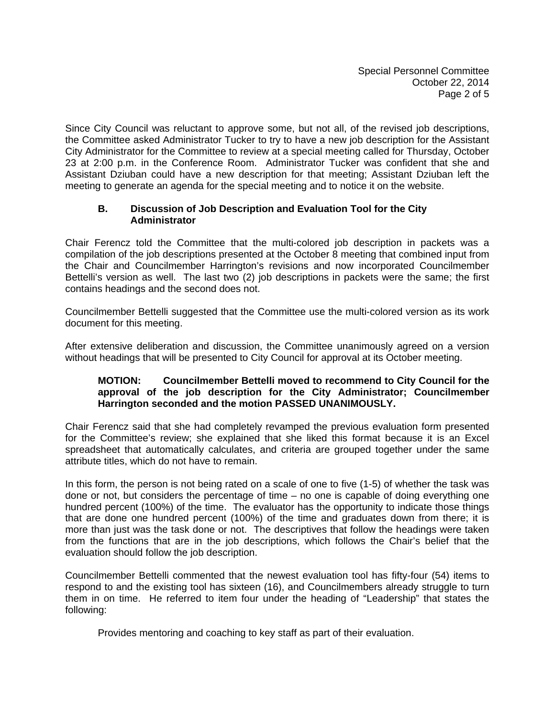Since City Council was reluctant to approve some, but not all, of the revised job descriptions, the Committee asked Administrator Tucker to try to have a new job description for the Assistant City Administrator for the Committee to review at a special meeting called for Thursday, October 23 at 2:00 p.m. in the Conference Room. Administrator Tucker was confident that she and Assistant Dziuban could have a new description for that meeting; Assistant Dziuban left the meeting to generate an agenda for the special meeting and to notice it on the website.

# **B. Discussion of Job Description and Evaluation Tool for the City Administrator**

Chair Ferencz told the Committee that the multi-colored job description in packets was a compilation of the job descriptions presented at the October 8 meeting that combined input from the Chair and Councilmember Harrington's revisions and now incorporated Councilmember Bettelli's version as well. The last two (2) job descriptions in packets were the same; the first contains headings and the second does not.

Councilmember Bettelli suggested that the Committee use the multi-colored version as its work document for this meeting.

After extensive deliberation and discussion, the Committee unanimously agreed on a version without headings that will be presented to City Council for approval at its October meeting.

### **MOTION: Councilmember Bettelli moved to recommend to City Council for the approval of the job description for the City Administrator; Councilmember Harrington seconded and the motion PASSED UNANIMOUSLY.**

Chair Ferencz said that she had completely revamped the previous evaluation form presented for the Committee's review; she explained that she liked this format because it is an Excel spreadsheet that automatically calculates, and criteria are grouped together under the same attribute titles, which do not have to remain.

In this form, the person is not being rated on a scale of one to five (1-5) of whether the task was done or not, but considers the percentage of time – no one is capable of doing everything one hundred percent (100%) of the time. The evaluator has the opportunity to indicate those things that are done one hundred percent (100%) of the time and graduates down from there; it is more than just was the task done or not. The descriptives that follow the headings were taken from the functions that are in the job descriptions, which follows the Chair's belief that the evaluation should follow the job description.

Councilmember Bettelli commented that the newest evaluation tool has fifty-four (54) items to respond to and the existing tool has sixteen (16), and Councilmembers already struggle to turn them in on time. He referred to item four under the heading of "Leadership" that states the following:

Provides mentoring and coaching to key staff as part of their evaluation.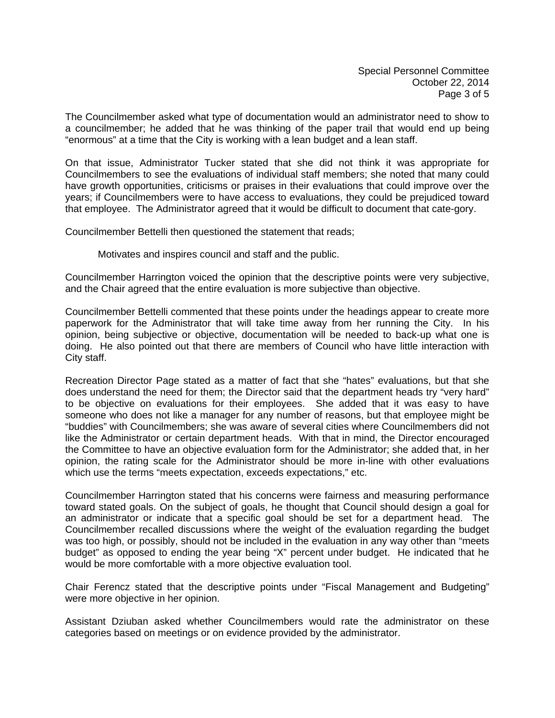The Councilmember asked what type of documentation would an administrator need to show to a councilmember; he added that he was thinking of the paper trail that would end up being "enormous" at a time that the City is working with a lean budget and a lean staff.

On that issue, Administrator Tucker stated that she did not think it was appropriate for Councilmembers to see the evaluations of individual staff members; she noted that many could have growth opportunities, criticisms or praises in their evaluations that could improve over the years; if Councilmembers were to have access to evaluations, they could be prejudiced toward that employee. The Administrator agreed that it would be difficult to document that cate-gory.

Councilmember Bettelli then questioned the statement that reads;

Motivates and inspires council and staff and the public.

Councilmember Harrington voiced the opinion that the descriptive points were very subjective, and the Chair agreed that the entire evaluation is more subjective than objective.

Councilmember Bettelli commented that these points under the headings appear to create more paperwork for the Administrator that will take time away from her running the City. In his opinion, being subjective or objective, documentation will be needed to back-up what one is doing. He also pointed out that there are members of Council who have little interaction with City staff.

Recreation Director Page stated as a matter of fact that she "hates" evaluations, but that she does understand the need for them; the Director said that the department heads try "very hard" to be objective on evaluations for their employees. She added that it was easy to have someone who does not like a manager for any number of reasons, but that employee might be "buddies" with Councilmembers; she was aware of several cities where Councilmembers did not like the Administrator or certain department heads. With that in mind, the Director encouraged the Committee to have an objective evaluation form for the Administrator; she added that, in her opinion, the rating scale for the Administrator should be more in-line with other evaluations which use the terms "meets expectation, exceeds expectations," etc.

Councilmember Harrington stated that his concerns were fairness and measuring performance toward stated goals. On the subject of goals, he thought that Council should design a goal for an administrator or indicate that a specific goal should be set for a department head. The Councilmember recalled discussions where the weight of the evaluation regarding the budget was too high, or possibly, should not be included in the evaluation in any way other than "meets budget" as opposed to ending the year being "X" percent under budget. He indicated that he would be more comfortable with a more objective evaluation tool.

Chair Ferencz stated that the descriptive points under "Fiscal Management and Budgeting" were more objective in her opinion.

Assistant Dziuban asked whether Councilmembers would rate the administrator on these categories based on meetings or on evidence provided by the administrator.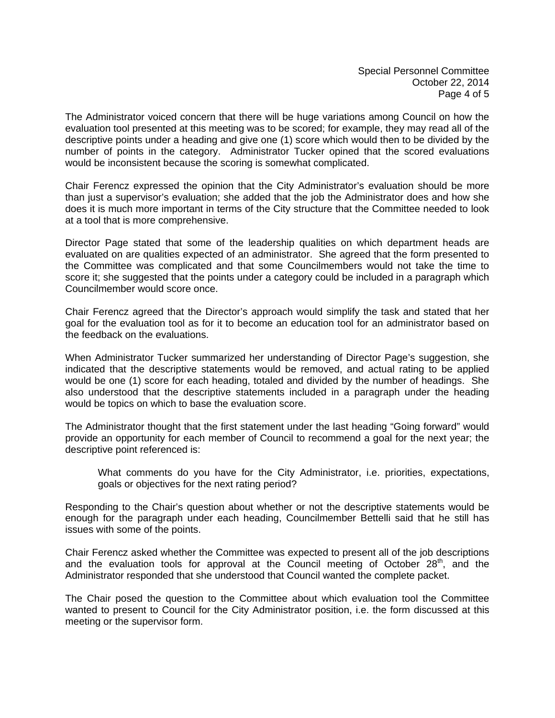The Administrator voiced concern that there will be huge variations among Council on how the evaluation tool presented at this meeting was to be scored; for example, they may read all of the descriptive points under a heading and give one (1) score which would then to be divided by the number of points in the category. Administrator Tucker opined that the scored evaluations would be inconsistent because the scoring is somewhat complicated.

Chair Ferencz expressed the opinion that the City Administrator's evaluation should be more than just a supervisor's evaluation; she added that the job the Administrator does and how she does it is much more important in terms of the City structure that the Committee needed to look at a tool that is more comprehensive.

Director Page stated that some of the leadership qualities on which department heads are evaluated on are qualities expected of an administrator. She agreed that the form presented to the Committee was complicated and that some Councilmembers would not take the time to score it; she suggested that the points under a category could be included in a paragraph which Councilmember would score once.

Chair Ferencz agreed that the Director's approach would simplify the task and stated that her goal for the evaluation tool as for it to become an education tool for an administrator based on the feedback on the evaluations.

When Administrator Tucker summarized her understanding of Director Page's suggestion, she indicated that the descriptive statements would be removed, and actual rating to be applied would be one (1) score for each heading, totaled and divided by the number of headings. She also understood that the descriptive statements included in a paragraph under the heading would be topics on which to base the evaluation score.

The Administrator thought that the first statement under the last heading "Going forward" would provide an opportunity for each member of Council to recommend a goal for the next year; the descriptive point referenced is:

 What comments do you have for the City Administrator, i.e. priorities, expectations, goals or objectives for the next rating period?

Responding to the Chair's question about whether or not the descriptive statements would be enough for the paragraph under each heading, Councilmember Bettelli said that he still has issues with some of the points.

Chair Ferencz asked whether the Committee was expected to present all of the job descriptions and the evaluation tools for approval at the Council meeting of October  $28<sup>th</sup>$ , and the Administrator responded that she understood that Council wanted the complete packet.

The Chair posed the question to the Committee about which evaluation tool the Committee wanted to present to Council for the City Administrator position, i.e. the form discussed at this meeting or the supervisor form.